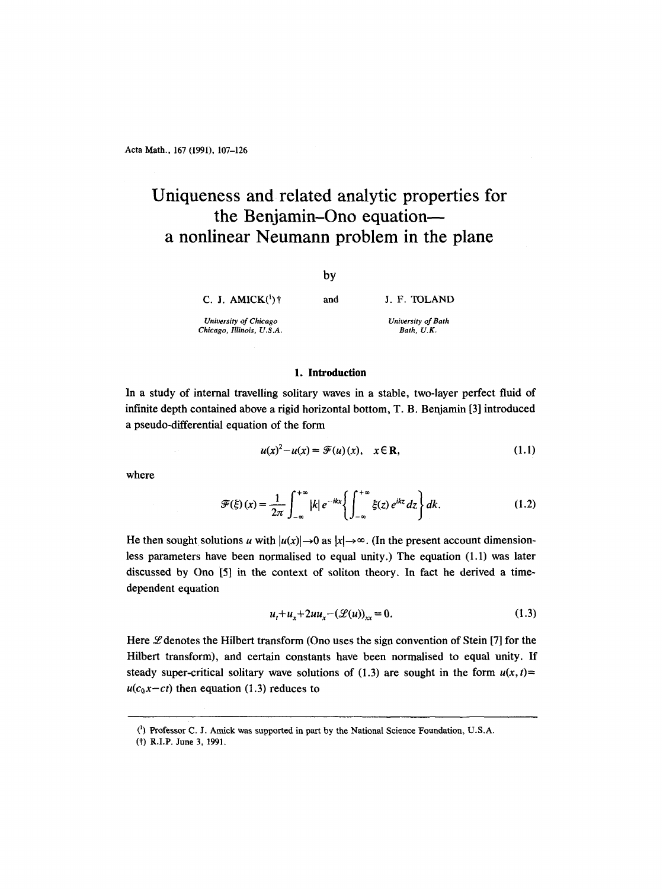Acta Math., 167 (1991), 107-126

# **Uniqueness and related analytic properties for the Benjamin-Ono equation a nonlinear Neumann problem in the plane**

by

**C. J. AMICK** $({}^{1})$ **<sup>+</sup>** *Unioersity of Chicago Chicago, Illinois, U.S,A.*  and J. F. TOLAND *University of Bath Bath, U.K.* 

#### **1. Introduction**

In a study of internal travelling solitary waves in a stable, two-layer perfect fluid of infinite depth contained above a rigid horizontal bottom, T. B. Benjamin [3] introduced a pseudo-differential equation of the form

$$
u(x)^{2}-u(x)=\mathcal{F}(u)(x), x \in \mathbf{R}, \qquad (1.1)
$$

where

$$
\mathcal{F}(\xi)(x) = \frac{1}{2\pi} \int_{-\infty}^{+\infty} |k| e^{-ikx} \left\{ \int_{-\infty}^{+\infty} \xi(z) e^{ikz} dz \right\} dk.
$$
 (1.2)

He then sought solutions u with  $|u(x)| \rightarrow 0$  as  $|x| \rightarrow \infty$ . (In the present account dimensionless parameters have been normalised to equal unity.) The equation (1.1) was later discussed by Ono [5] in the context of soliton theory. In fact he derived a timedependent equation

$$
u_t + u_x + 2uu_x - (\mathcal{L}(u))_{xx} = 0.
$$
 (1.3)

Here  $\mathscr L$  denotes the Hilbert transform (Ono uses the sign convention of Stein [7] for the Hilbert transform), and certain constants have been normalised to equal unity. If steady super-critical solitary wave solutions of (1.3) are sought in the form  $u(x, t)$ =  $u(c_0x-ct)$  then equation (1.3) reduces to

<sup>(~)</sup> Professor C. J. Amick was supported in part by the National Science Foundation, U.S.A.

<sup>(</sup>t) R.I.P. June 3, 1991.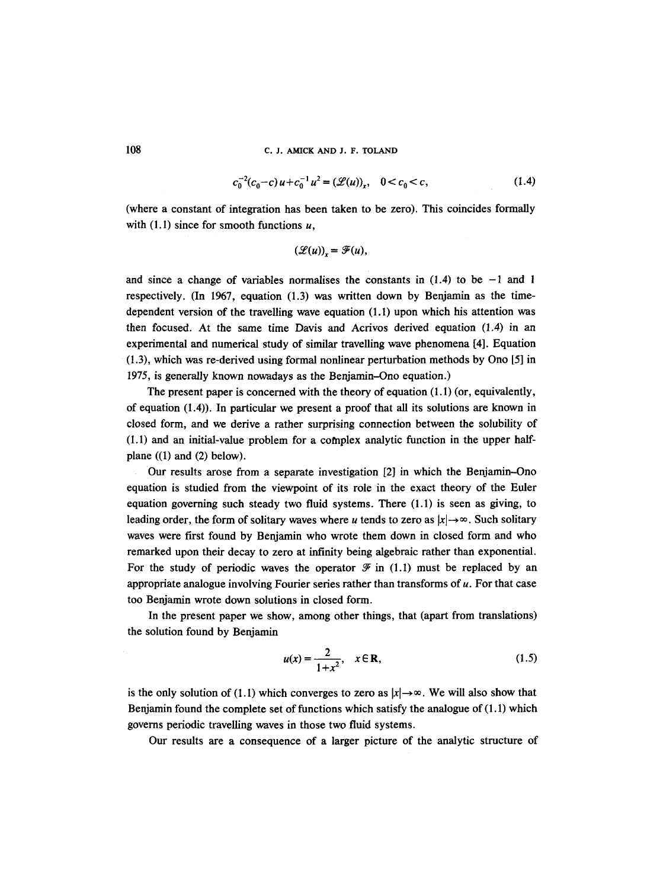$$
c_0^{-2}(c_0 - c)u + c_0^{-1}u^2 = (\mathcal{L}(u))_x, \quad 0 < c_0 < c,\tag{1.4}
$$

(where a constant of integration has been taken to be zero), This coincides formally with  $(1.1)$  since for smooth functions  $u$ ,

$$
(\mathscr{L}(u))_{\mathfrak{r}}=\mathscr{F}(u),
$$

and since a change of variables normalises the constants in  $(1.4)$  to be  $-1$  and 1 respectively. (In 1967, equation (1.3) was written down by Benjamin as the timedependent version of the travelling wave equation (1.1) upon which his attention was then focused. At the same time Davis and Acrivos derived equation (1.4) in an experimental and numerical study of similar travelling wave phenomena [4]. Equation  $(1.3)$ , which was re-derived using formal nonlinear perturbation methods by Ono  $[5]$  in 1975, is generally known nowadays as the Benjamin-Ono equation.)

The present paper is concerned with the theory of equation (1.1) (or, equivalently, of equation (1.4)). In particular we present a proof that all its solutions are known in closed form, and we derive a rather surprising connection between the solubility of  $(1.1)$  and an initial-value problem for a complex analytic function in the upper halfplane  $((1)$  and  $(2)$  below).

Our results arose from a separate investigation [2] in which the Benjamin-Ono equation is studied from the viewpoint of its role in the exact theory of the Euler equation governing such steady two fluid systems. There (1.1) is seen as giving, to leading order, the form of solitary waves where u tends to zero as  $|x| \rightarrow \infty$ . Such solitary waves were first found by Benjamin who wrote them down in closed form and who remarked upon their decay to zero at infinity being algebraic rather than exponential. For the study of periodic waves the operator  $\mathcal F$  in (1.1) must be replaced by an appropriate analogue involving Fourier series rather than transforms of  $u$ . For that case too Benjamin wrote down solutions in closed form.

In the present paper we show, among other things, that (apart from translations) the solution found by Benjamin

$$
u(x) = \frac{2}{1 + x^2}, \quad x \in \mathbb{R},
$$
 (1.5)

is the only solution of (1.1) which converges to zero as  $|x| \rightarrow \infty$ . We will also show that Benjamin found the complete set of functions which satisfy the analogue of (1.1) which governs periodic travelling waves in those two fluid systems.

Our results are a consequence of a larger picture of the analytic structure of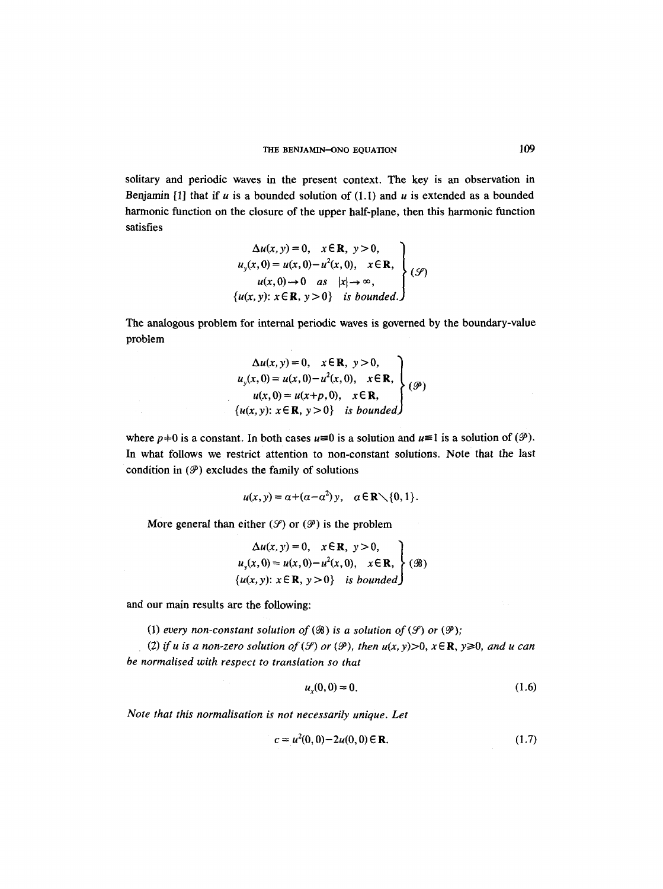solitary and periodic waves in the present context. The key is an observation in Benjamin  $[1]$  that if  $u$  is a bounded solution of  $(1.1)$  and  $u$  is extended as a bounded harmonic function on the closure of the upper half-plane, then this harmonic function satisfies

$$
\Delta u(x, y) = 0, \quad x \in \mathbb{R}, \quad y > 0,
$$
  
\n
$$
u_y(x, 0) = u(x, 0) - u^2(x, 0), \quad x \in \mathbb{R},
$$
  
\n
$$
u(x, 0) \to 0 \quad as \quad |x| \to \infty,
$$
  
\n
$$
\{u(x, y): x \in \mathbb{R}, \quad y > 0\} \quad is \ bounded.
$$
 (9)

 $\ddot{\phantom{a}}$ 

The analogous problem for internal periodic waves is governed by the boundary-value problem

$$
\Delta u(x, y) = 0, \quad x \in \mathbb{R}, \quad y > 0,
$$
  
\n
$$
u_y(x, 0) = u(x, 0) - u^2(x, 0), \quad x \in \mathbb{R},
$$
  
\n
$$
u(x, 0) = u(x+p, 0), \quad x \in \mathbb{R},
$$
  
\n
$$
\{u(x, y): x \in \mathbb{R}, \quad y > 0\} \quad \text{is bounded}
$$
 (9)

where  $p\neq 0$  is a constant. In both cases  $u\equiv 0$  is a solution and  $u\equiv 1$  is a solution of  $(\mathcal{P})$ . In what follows we restrict attention to non-constant solutions. Note that the last condition in  $(\mathcal{P})$  excludes the family of solutions

$$
u(x, y) = \alpha + (\alpha - \alpha^2) y, \quad \alpha \in \mathbb{R} \setminus \{0, 1\}.
$$

More general than either ( $\mathcal{S}$ ) or ( $\mathcal{P}$ ) is the problem

$$
\Delta u(x, y) = 0, \quad x \in \mathbb{R}, \quad y > 0,
$$
  
\n
$$
u_y(x, 0) = u(x, 0) - u^2(x, 0), \quad x \in \mathbb{R},
$$
  
\n
$$
\{u(x, y): x \in \mathbb{R}, \quad y > 0\} \text{ is bounded}\n\}
$$
\n(38)

and our main results are the following:

 $\sim$   $_{\star}$ 

(1) every non-constant solution of  $(\mathcal{B})$  is a solution of  $(\mathcal{F})$  or  $(\mathcal{P})$ ;

(2) if u is a non-zero solution of ( $\mathcal{F}$ ) or ( $\mathcal{P}$ ), then  $u(x, y) > 0$ ,  $x \in \mathbb{R}$ ,  $y \ge 0$ , and u can *be normalised with respect to translation so that* 

$$
u_x(0,0) = 0. \t\t(1.6)
$$

*Note that this normalisation is not necessarily unique. Let* 

$$
c = u^2(0,0) - 2u(0,0) \in \mathbf{R}.\tag{1.7}
$$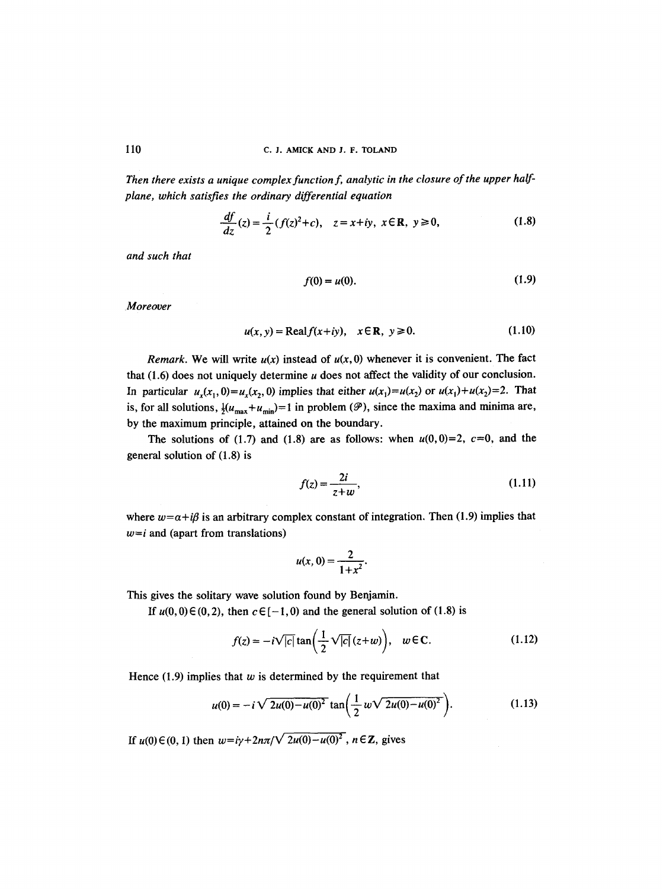*Then there exists a unique complex function f, analytic in the closure of the upper halfplane, which satisfies the ordinary differential equation* 

$$
\frac{df}{dz}(z) = \frac{i}{2}(f(z)^2 + c), \quad z = x + iy, \ x \in \mathbb{R}, \ y \ge 0,
$$
\n(1.8)

*and such that* 

$$
f(0) = u(0). \tag{1.9}
$$

*Moreover* 

$$
u(x, y) = \text{Real } f(x+iy), \quad x \in \mathbb{R}, \ y \ge 0. \tag{1.10}
$$

*Remark.* We will write  $u(x)$  instead of  $u(x, 0)$  whenever it is convenient. The fact that  $(1.6)$  does not uniquely determine  $u$  does not affect the validity of our conclusion. In particular  $u_r(x_1, 0) = u_r(x_2, 0)$  implies that either  $u(x_1) = u(x_2)$  or  $u(x_1) + u(x_2) = 2$ . That is, for all solutions,  $\frac{1}{2}(u_{\text{max}}+u_{\text{min}})=1$  in problem ( $\mathcal{P}$ ), since the maxima and minima are, by the maximum principle, attained on the boundary.

The solutions of (1.7) and (1.8) are as follows: when  $u(0,0)=2$ ,  $c=0$ , and the general solution of (1.8) is

$$
f(z) = \frac{2i}{z+w},\tag{1.11}
$$

where  $w = \alpha + i\beta$  is an arbitrary complex constant of integration. Then (1.9) implies that  $w=i$  and (apart from translations)

$$
u(x, 0) = \frac{2}{1+x^2}.
$$

This gives the solitary wave solution found by Benjamin.

If  $u(0, 0) \in (0, 2)$ , then  $c \in [-1, 0)$  and the general solution of (1.8) is

$$
f(z) = -i\sqrt{|c|} \tan\left(\frac{1}{2}\sqrt{|c|}(z+w)\right), \quad w \in \mathbb{C}.\tag{1.12}
$$

Hence  $(1.9)$  implies that w is determined by the requirement that

$$
u(0) = -i\sqrt{2u(0) - u(0)^2} \tan\left(\frac{1}{2}w\sqrt{2u(0) - u(0)^2}\right).
$$
 (1.13)

If  $u(0) \in (0, 1)$  then  $w=i\gamma+2n\pi/\sqrt{2u(0)-u(0)^2}$ ,  $n \in \mathbb{Z}$ , gives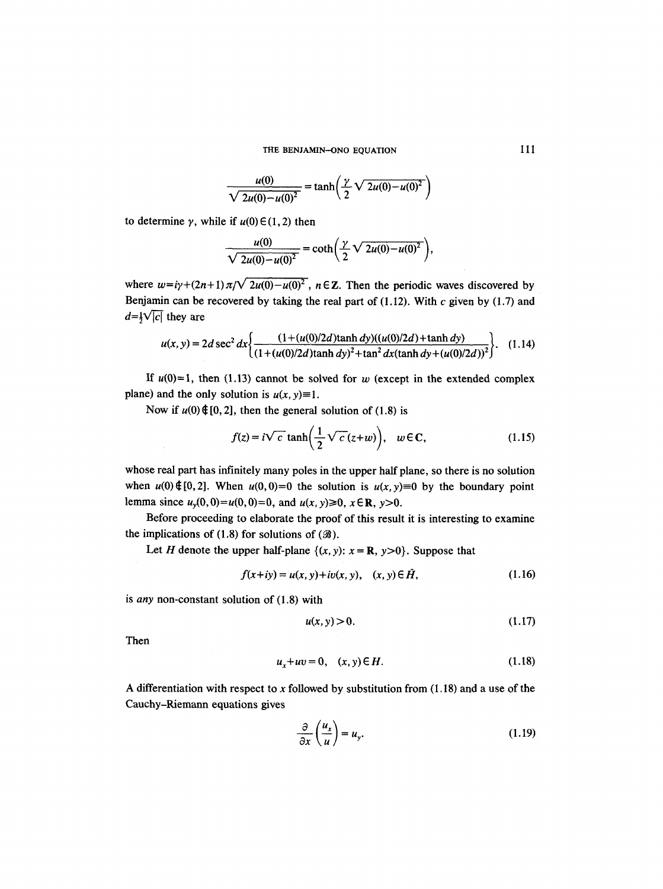$$
\frac{u(0)}{\sqrt{2u(0)-u(0)^2}} = \tanh\left(\frac{\gamma}{2}\sqrt{2u(0)-u(0)^2}\right)
$$

to determine  $\gamma$ , while if  $u(0) \in (1, 2)$  then

$$
\frac{u(0)}{\sqrt{2u(0)-u(0)^2}}=\coth\bigg(\frac{\gamma}{2}\sqrt{2u(0)-u(0)^2}\bigg),\,
$$

where  $w=iy+(2n+1)\pi/\sqrt{2u(0)-u(0)^2}$ ,  $n \in \mathbb{Z}$ . Then the periodic waves discovered by Benjamin can be recovered by taking the real part of  $(1.12)$ . With c given by  $(1.7)$  and  $d=\frac{1}{2}\sqrt{|c|}$  they are

$$
u(x, y) = 2d \sec^2 dx \left\{ \frac{(1 + (u(0)/2d)\tanh dy)((u(0)/2d) + \tanh dy)}{(1 + (u(0)/2d)\tanh dy)^2 + \tan^2 dx (\tanh dy + (u(0)/2d))^2} \right\}.
$$
 (1.14)

If  $u(0)=1$ , then (1.13) cannot be solved for w (except in the extended complex plane) and the only solution is  $u(x, y) \equiv 1$ .

Now if  $u(0) \notin [0, 2]$ , then the general solution of (1.8) is

$$
f(z) = i\sqrt{c} \tanh\left(\frac{1}{2}\sqrt{c}(z+w)\right), \quad w \in \mathbb{C}, \tag{1.15}
$$

whose real part has infinitely many poles in the upper half plane, so there is no solution when  $u(0) \notin [0,2]$ . When  $u(0,0)=0$  the solution is  $u(x,y)=0$  by the boundary point lemma since  $u_y(0, 0) = u(0, 0) = 0$ , and  $u(x, y) \ge 0$ ,  $x \in \mathbb{R}$ ,  $y > 0$ .

Before proceeding to elaborate the proof of this result it is interesting to examine the implications of  $(1.8)$  for solutions of  $(\mathcal{B})$ .

Let H denote the upper half-plane  $\{(x, y): x = \mathbb{R}, y > 0\}$ . Suppose that

$$
f(x+iy) = u(x, y) + iv(x, y), \quad (x, y) \in \tilde{H}, \tag{1.16}
$$

is *any* non-constant solution of (1.8) with

$$
u(x, y) > 0. \tag{1.17}
$$

Then

$$
u_x + uv = 0, \quad (x, y) \in H. \tag{1.18}
$$

A differentiation with respect to x followed by substitution from  $(1.18)$  and a use of the Cauchy-Riemann equations gives

$$
\frac{\partial}{\partial x}\left(\frac{u_x}{u}\right) = u_y.
$$
 (1.19)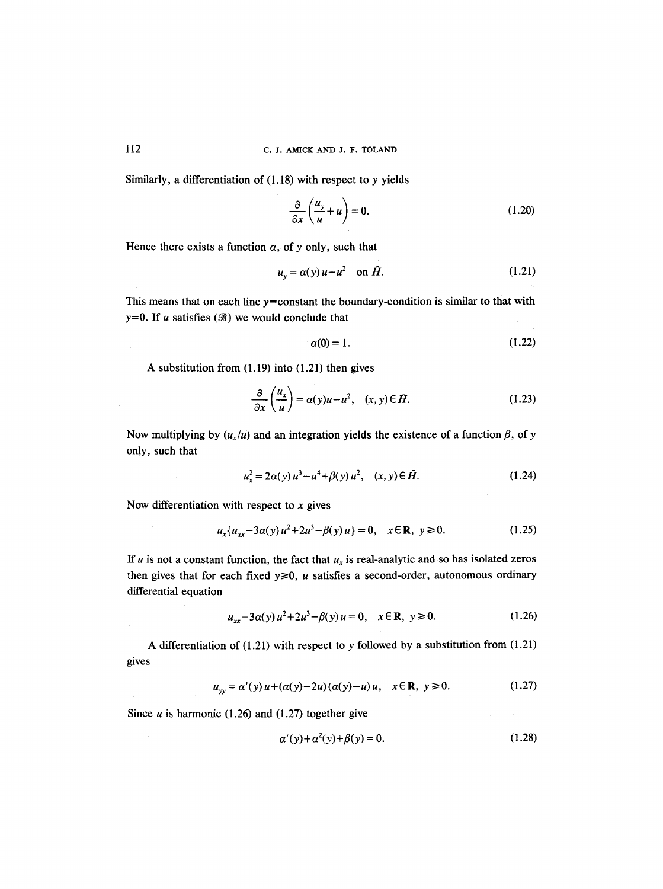Similarly, a differentiation of (1.18) with respect to y yields

$$
\frac{\partial}{\partial x}\left(\frac{u_y}{u} + u\right) = 0.
$$
 (1.20)

Hence there exists a function  $\alpha$ , of y only, such that

$$
u_{y} = \alpha(y)u - u^{2} \quad \text{on } \bar{H}.\tag{1.21}
$$

This means that on each line  $y=constant$  the boundary-condition is similar to that with  $y=0$ . If u satisfies ( $\mathcal{B}$ ) we would conclude that

$$
\alpha(0) = 1. \tag{1.22}
$$

A substitution from (1.19) into (1.21) then gives

$$
\frac{\partial}{\partial x}\left(\frac{u_x}{u}\right) = \alpha(y)u - u^2, \quad (x, y) \in \bar{H}.\tag{1.23}
$$

Now multiplying by  $(u_x/u)$  and an integration yields the existence of a function  $\beta$ , of y only, such that

$$
u_x^2 = 2\alpha(y) u^3 - u^4 + \beta(y) u^2, \quad (x, y) \in \bar{H}.
$$
 (1.24)

Now differentiation with respect to  $x$  gives

$$
u_x\{u_{xx} - 3a(y)u^2 + 2u^3 - \beta(y)u\} = 0, \quad x \in \mathbb{R}, \ y \ge 0.
$$
 (1.25)

 $\sim$   $\sim$ 

If u is not a constant function, the fact that  $u_x$  is real-analytic and so has isolated zeros then gives that for each fixed  $y \ge 0$ , u satisfies a second-order, autonomous ordinary differential equation

$$
u_{xx} - 3\alpha(y) u^2 + 2u^3 - \beta(y) u = 0, \quad x \in \mathbb{R}, \ y \ge 0.
$$
 (1.26)

A differentiation of (1.21) with respect to y followed by a substitution from (1.21) gives

$$
u_{yy} = \alpha'(y)u + (\alpha(y) - 2u)(\alpha(y) - u)u, \quad x \in \mathbb{R}, \ y \ge 0.
$$
 (1.27)

Since  $u$  is harmonic (1.26) and (1.27) together give

$$
\alpha'(y) + \alpha^2(y) + \beta(y) = 0. \tag{1.28}
$$

 $\sim$   $_{\rm X}$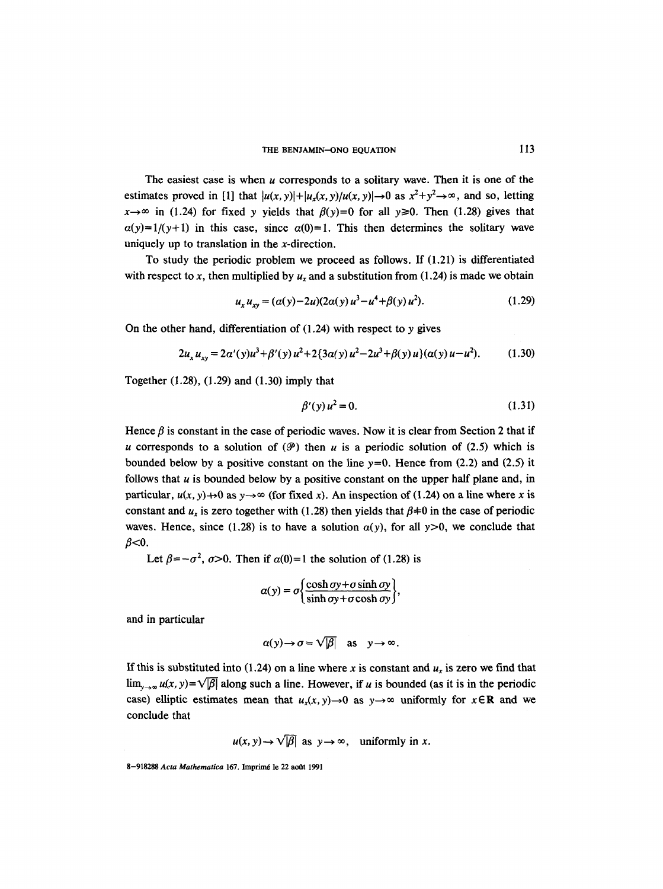The easiest case is when  $u$  corresponds to a solitary wave. Then it is one of the estimates proved in [1] that  $|u(x, y)| + |u_r(x, y)|u(x, y)| \rightarrow 0$  as  $x^2 + y^2 \rightarrow \infty$ , and so, letting  $x\rightarrow\infty$  in (1.24) for fixed y yields that  $\beta(y)=0$  for all  $y\geq0$ . Then (1.28) gives that  $a(y)=1/(y+1)$  in this case, since  $a(0)=1$ . This then determines the solitary wave uniquely up to translation in the x-direction.

To study the periodic problem we proceed as follows. If (1.21) is differentiated with respect to x, then multiplied by  $u<sub>x</sub>$  and a substitution from (1.24) is made we obtain

$$
u_x u_{xy} = (a(y) - 2u)(2a(y)u^3 - u^4 + \beta(y)u^2). \tag{1.29}
$$

On the other hand, differentiation of (1.24) with respect to y gives

$$
2u_x u_{xy} = 2\alpha'(y)u^3 + \beta'(y)u^2 + 2\{3\alpha(y)u^2 - 2u^3 + \beta(y)u\}(\alpha(y)u - u^2). \tag{1.30}
$$

Together (1.28), (1.29) and (1.30) imply that

$$
\beta'(y)u^2 = 0.
$$
 (1.31)

Hence  $\beta$  is constant in the case of periodic waves. Now it is clear from Section 2 that if u corresponds to a solution of  $(\mathcal{P})$  then u is a periodic solution of (2.5) which is bounded below by a positive constant on the line  $y=0$ . Hence from (2.2) and (2.5) it follows that  $u$  is bounded below by a positive constant on the upper half plane and, in particular,  $u(x, y) \rightarrow 0$  as  $y \rightarrow \infty$  (for fixed x). An inspection of (1.24) on a line where x is constant and  $u_x$  is zero together with (1.28) then yields that  $\beta \neq 0$  in the case of periodic waves. Hence, since (1.28) is to have a solution  $\alpha(y)$ , for all  $y>0$ , we conclude that  $\beta<0$ .

Let  $\beta = -\sigma^2$ ,  $\sigma > 0$ . Then if  $\alpha(0) = 1$  the solution of (1.28) is

$$
\alpha(y) = \sigma \left\{ \frac{\cosh \sigma y + \sigma \sinh \sigma y}{\sinh \sigma y + \sigma \cosh \sigma y} \right\}
$$

and in particular

$$
\alpha(y) \rightarrow \sigma = \sqrt{|\beta|}
$$
 as  $y \rightarrow \infty$ .

If this is substituted into (1.24) on a line where x is constant and  $u_x$  is zero we find that  $\lim_{y\to\infty} u(x, y)=\sqrt{|\beta|}$  along such a line. However, if u is bounded (as it is in the periodic case) elliptic estimates mean that  $u_x(x, y) \rightarrow 0$  as  $y \rightarrow \infty$  uniformly for  $x \in \mathbb{R}$  and we conclude that

$$
u(x, y) \rightarrow \sqrt{|\beta|}
$$
 as  $y \rightarrow \infty$ , uniformly in x.

<sup>8-918288</sup> Acta Mathematica 167. Imprimé le 22 août 1991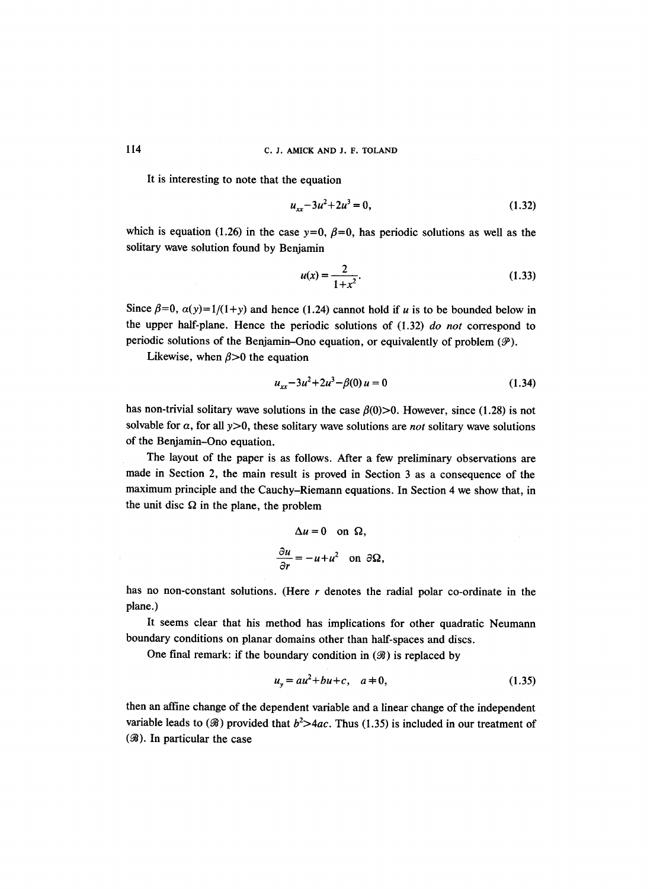It is interesting to note that the equation

$$
u_{xx} - 3u^2 + 2u^3 = 0,\tag{1.32}
$$

which is equation (1.26) in the case  $y=0$ ,  $\beta=0$ , has periodic solutions as well as the solitary wave solution found by Benjamin

$$
u(x) = \frac{2}{1 + x^2}.
$$
 (1.33)

Since  $\beta=0$ ,  $\alpha(y)=1/(1+y)$  and hence (1.24) cannot hold if u is to be bounded below in the upper half-plane. Hence the periodic solutions of (1.32) *do not* correspond to periodic solutions of the Benjamin--Ono equation, or equivalently of problem  $(\mathcal{P})$ .

Likewise, when  $\beta > 0$  the equation

$$
u_{xx} - 3u^2 + 2u^3 - \beta(0) u = 0 \tag{1.34}
$$

has non-trivial solitary wave solutions in the case  $\beta(0)$  > 0. However, since (1.28) is not solvable for  $\alpha$ , for all y>0, these solitary wave solutions are *not* solitary wave solutions of the Benjamin-Ono equation.

The layout of the paper is as follows. After a few preliminary observations are made in Section 2, the main result is proved in Section 3 as a consequence of the maximum principle and the Cauchy-Riemann equations. In Section 4 we show that, in the unit disc  $\Omega$  in the plane, the problem

$$
\Delta u = 0 \text{ on } \Omega,
$$
  

$$
\frac{\partial u}{\partial r} = -u + u^2 \text{ on } \partial \Omega,
$$

has no non-constant solutions. (Here  $r$  denotes the radial polar co-ordinate in the plane.)

It seems clear that his method has implications for other quadratic Neumann boundary conditions on planar domains other than half-spaces and discs.

One final remark: if the boundary condition in  $(\mathcal{B})$  is replaced by

$$
u_y = au^2 + bu + c, \quad a \neq 0,
$$
 (1.35)

then an affine change of the dependent variable and a linear change of the independent variable leads to ( $\mathcal{B}$ ) provided that  $b^2 > 4ac$ . Thus (1.35) is included in our treatment of  $({\mathscr{B}})$ . In particular the case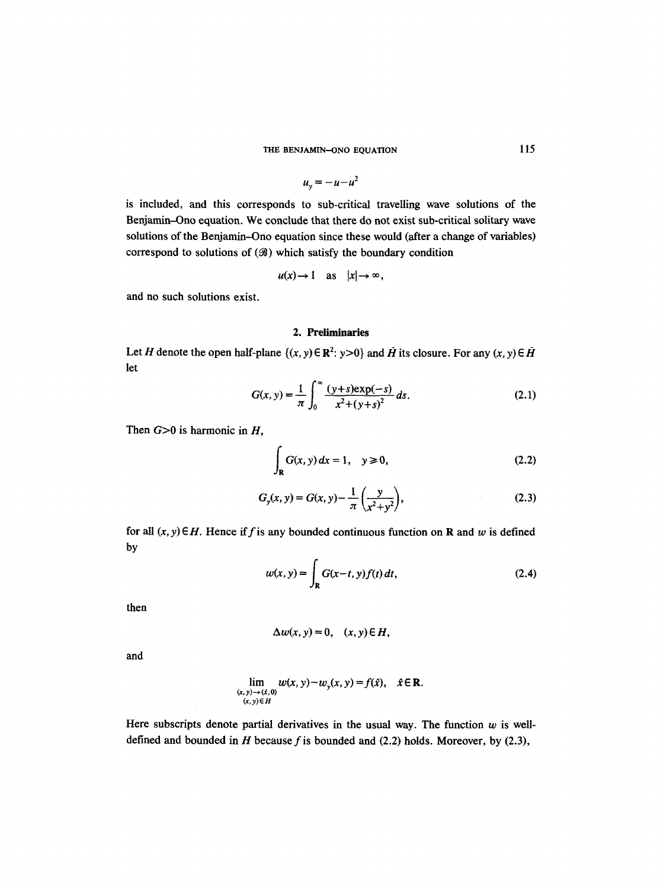$$
u_{v}=-u-u^{2}
$$

is included, and this corresponds to sub-critical travelling wave solutions of the Benjamin-Ono equation. We conclude that there do not exist sub-critical solitary wave solutions of the Benjamin-Ono equation since these would (after a change of variables) correspond to solutions of  $(\mathcal{B})$  which satisfy the boundary condition

$$
u(x) \to 1 \quad \text{as} \quad |x| \to \infty,
$$

and no such solutions exist.

## **2. Preliminaries**

Let H denote the open half-plane  $\{(x, y) \in \mathbb{R}^2 : y > 0\}$  and  $\tilde{H}$  its closure. For any  $(x, y) \in \tilde{H}$ let

$$
G(x, y) = \frac{1}{\pi} \int_0^\infty \frac{(y+s)\exp(-s)}{x^2 + (y+s)^2} ds.
$$
 (2.1)

Then  $G>0$  is harmonic in  $H$ ,

$$
\int_{\mathbb{R}} G(x, y) dx = 1, \quad y \ge 0,
$$
\n(2.2)

$$
G_y(x, y) = G(x, y) - \frac{1}{\pi} \left( \frac{y}{x^2 + y^2} \right),
$$
 (2.3)

for all  $(x, y) \in H$ . Hence if f is any bounded continuous function on R and w is defined by

$$
w(x, y) = \int_{\mathbf{R}} G(x-t, y) f(t) dt,
$$
 (2.4)

then

$$
\Delta w(x, y) = 0, \quad (x, y) \in H,
$$

**and** 

$$
\lim_{\substack{(x, y) \to (\hat{\varepsilon}, 0) \\ (x, y) \in H}} w(x, y) - w_y(x, y) = f(\hat{x}), \quad \hat{x} \in \mathbb{R}.
$$

Here subscripts denote partial derivatives in the usual way. The function  $w$  is welldefined and bounded in  $H$  because  $f$  is bounded and (2.2) holds. Moreover, by (2.3),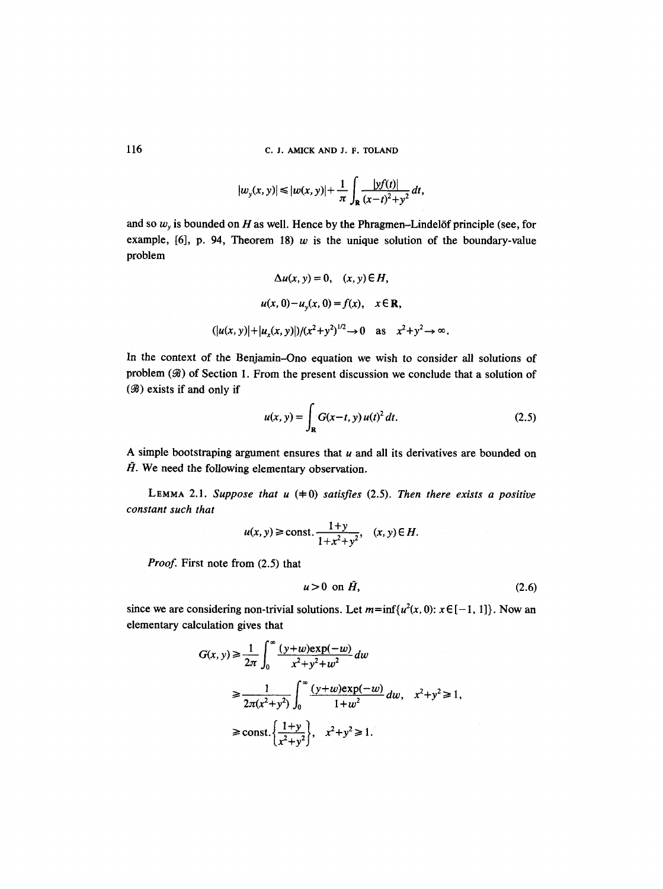$$
|w_y(x, y)| \le |w(x, y)| + \frac{1}{\pi} \int_{\mathbf{R}} \frac{|yf(t)|}{(x - t)^2 + y^2} dt,
$$

and so  $w<sub>v</sub>$  is bounded on H as well. Hence by the Phragmen-Lindelöf principle (see, for example,  $[6]$ , p. 94, Theorem 18) w is the unique solution of the boundary-value problem

$$
\Delta u(x, y) = 0, \quad (x, y) \in H,
$$
  

$$
u(x, 0) - u_y(x, 0) = f(x), \quad x \in \mathbb{R},
$$
  

$$
(|u(x, y)| + |u_x(x, y)|)/(x^2 + y^2)^{1/2} \to 0 \quad \text{as} \quad x^2 + y^2 \to \infty.
$$

In the context of the Benjamin--Ono equation we wish to consider all solutions of problem  $(\mathcal{B})$  of Section 1. From the present discussion we conclude that a solution of  $({\mathscr{B}})$  exists if and only if

$$
u(x, y) = \int_{\mathbf{R}} G(x-t, y) u(t)^2 dt.
$$
 (2.5)

A simple bootstraping argument ensures that  $u$  and all its derivatives are bounded on  $\bar{H}$ . We need the following elementary observation.

LEMMA 2.1. Suppose that  $u$   $(0)$  satisfies  $(2.5)$ . Then there exists a positive *constant such that* 

$$
u(x, y) \ge \text{const.} \frac{1+y}{1+x^2+y^2}, \quad (x, y) \in H.
$$

*Proof.* First note from (2.5) that

$$
u > 0 \text{ on } \tilde{H}, \tag{2.6}
$$

since we are considering non-trivial solutions. Let  $m=\inf\{u^2(x, 0): x \in [-1, 1]\}\)$ . Now an elementary calculation gives that

$$
G(x, y) \ge \frac{1}{2\pi} \int_0^\infty \frac{(y+w)\exp(-w)}{x^2 + y^2 + w^2} dw
$$
  
\n
$$
\ge \frac{1}{2\pi(x^2 + y^2)} \int_0^\infty \frac{(y+w)\exp(-w)}{1 + w^2} dw, \quad x^2 + y^2 \ge 1,
$$
  
\n
$$
\ge \text{const.} \left\{ \frac{1+y}{x^2 + y^2} \right\}, \quad x^2 + y^2 \ge 1.
$$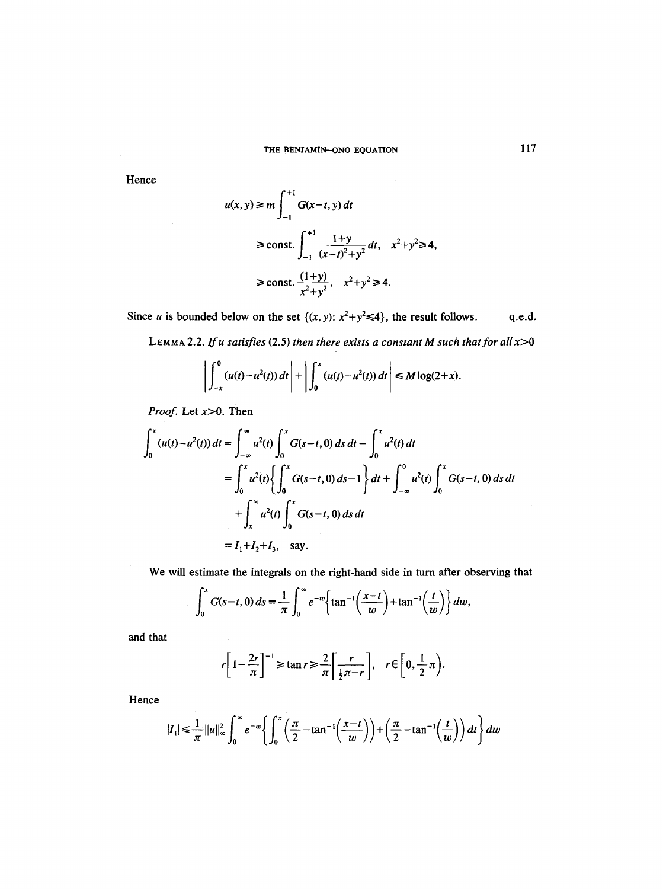**Hence** 

$$
u(x, y) \ge m \int_{-1}^{+1} G(x - t, y) dt
$$
  
\n
$$
\ge \text{const.} \int_{-1}^{+1} \frac{1 + y}{(x - t)^2 + y^2} dt, \quad x^2 + y^2 \ge 4,
$$
  
\n
$$
\ge \text{const.} \frac{(1 + y)}{x^2 + y^2}, \quad x^2 + y^2 \ge 4.
$$

Since *u* is bounded below on the set  $\{(x, y): x^2+y^2 \le 4\}$ , the result follows. q.e.d.

LEMMA 2.2. *If u satisfies* (2.5) *then there exists a constant M such that for all x>O* 

$$
\left|\int_{-x}^0 (u(t)-u^2(t)) dt\right|+\left|\int_0^x (u(t)-u^2(t)) dt\right|\leq M\log(2+x).
$$

*Proof.* Let  $x>0$ . Then

$$
\int_0^x (u(t) - u^2(t)) dt = \int_{-\infty}^\infty u^2(t) \int_0^x G(s - t, 0) ds dt - \int_0^x u^2(t) dt
$$
  
= 
$$
\int_0^x u^2(t) \left\{ \int_0^x G(s - t, 0) ds - 1 \right\} dt + \int_{-\infty}^0 u^2(t) \int_0^x G(s - t, 0) ds dt
$$
  
+ 
$$
\int_x^\infty u^2(t) \int_0^x G(s - t, 0) ds dt
$$
  
=  $I_1 + I_2 + I_3$ , say.

We will estimate the integrals on the fight-hand side in turn after observing that

$$
\int_0^x G(s-t,0)\,ds = \frac{1}{\pi}\int_0^\infty e^{-w}\bigg\{\tan^{-1}\bigg(\frac{x-t}{w}\bigg) + \tan^{-1}\bigg(\frac{t}{w}\bigg)\bigg\}\,dw,
$$

and that

$$
r\left[1-\frac{2r}{\pi}\right]^{-1} \geq \tan r \geq \frac{2}{\pi}\left[\frac{r}{\frac{1}{2}\pi-r}\right], \quad r \in \left[0,\frac{1}{2}\pi\right).
$$

Hence

$$
|I_1| \leq \frac{1}{\pi} ||u||_{\infty}^2 \int_0^{\infty} e^{-w} \left\{ \int_0^x \left( \frac{\pi}{2} - \tan^{-1} \left( \frac{x-t}{w} \right) \right) + \left( \frac{\pi}{2} - \tan^{-1} \left( \frac{t}{w} \right) \right) dt \right\} dw
$$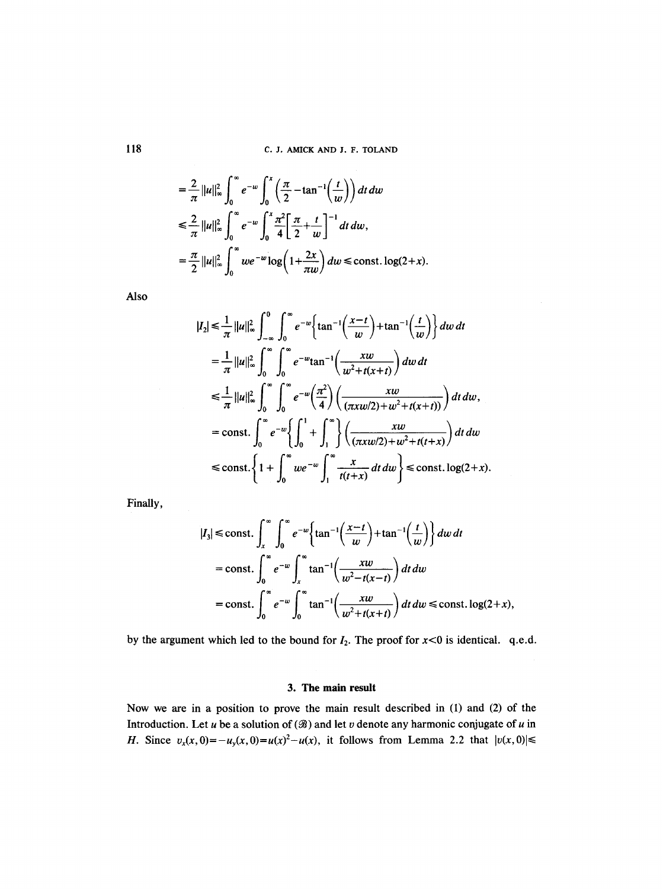$$
= \frac{2}{\pi} ||u||_{\infty}^{2} \int_{0}^{\infty} e^{-w} \int_{0}^{x} \left(\frac{\pi}{2} - \tan^{-1}\left(\frac{t}{w}\right)\right) dt dw
$$
  
\n
$$
\leq \frac{2}{\pi} ||u||_{\infty}^{2} \int_{0}^{\infty} e^{-w} \int_{0}^{x} \frac{\pi^{2}}{4} \left[\frac{\pi}{2} + \frac{t}{w}\right]^{-1} dt dw,
$$
  
\n
$$
= \frac{\pi}{2} ||u||_{\infty}^{2} \int_{0}^{\infty} we^{-w} \log\left(1 + \frac{2x}{\pi w}\right) dw \leq \text{const.} \log(2 + x).
$$

Also

$$
|I_2| \leq \frac{1}{\pi} ||u||_{\infty}^2 \int_{-\infty}^0 \int_0^{\infty} e^{-w} \left\{ \tan^{-1} \left( \frac{x-t}{w} \right) + \tan^{-1} \left( \frac{t}{w} \right) \right\} dw dt
$$
  
\n
$$
= \frac{1}{\pi} ||u||_{\infty}^2 \int_0^{\infty} \int_0^{\infty} e^{-w} \tan^{-1} \left( \frac{xw}{w^2 + t(x+t)} \right) dw dt
$$
  
\n
$$
\leq \frac{1}{\pi} ||u||_{\infty}^2 \int_0^{\infty} \int_0^{\infty} e^{-w} \left( \frac{\pi^2}{4} \right) \left( \frac{xw}{(\pi x w/2) + w^2 + t(x+t)} \right) dt dw,
$$
  
\n
$$
= \text{const.} \int_0^{\infty} e^{-w} \left\{ \int_0^1 + \int_1^{\infty} \left( \frac{xw}{(\pi x w/2) + w^2 + t(t+x)} \right) dt dw \right\}
$$
  
\n
$$
\leq \text{const.} \left\{ 1 + \int_0^{\infty} we^{-w} \int_1^{\infty} \frac{x}{t(t+x)} dt dw \right\} \leq \text{const.} \log(2+x).
$$

Finally,

$$
|I_3| \le \text{const.} \int_x^{\infty} \int_0^{\infty} e^{-w} \left\{ \tan^{-1} \left( \frac{x-t}{w} \right) + \tan^{-1} \left( \frac{t}{w} \right) \right\} dw dt
$$
  
= const. 
$$
\int_0^{\infty} e^{-w} \int_x^{\infty} \tan^{-1} \left( \frac{xw}{w^2 - t(x - t)} \right) dt dw
$$
  
= const. 
$$
\int_0^{\infty} e^{-w} \int_0^{\infty} \tan^{-1} \left( \frac{xw}{w^2 + t(x + t)} \right) dt dw \le \text{const.} \log(2 + x),
$$

by the argument which led to the bound for  $I_2$ . The proof for  $x < 0$  is identical. q.e.d.

## **3. The main result**

Now we are in a position to prove the main result described in (I) and (2) of the Introduction. Let u be a solution of  $(\mathcal{B})$  and let v denote any harmonic conjugate of u in *H.* Since  $v_x(x, 0) = -u_y(x, 0) = u(x)^2 - u(x)$ , it follows from Lemma 2.2 that  $|v(x, 0)| \le$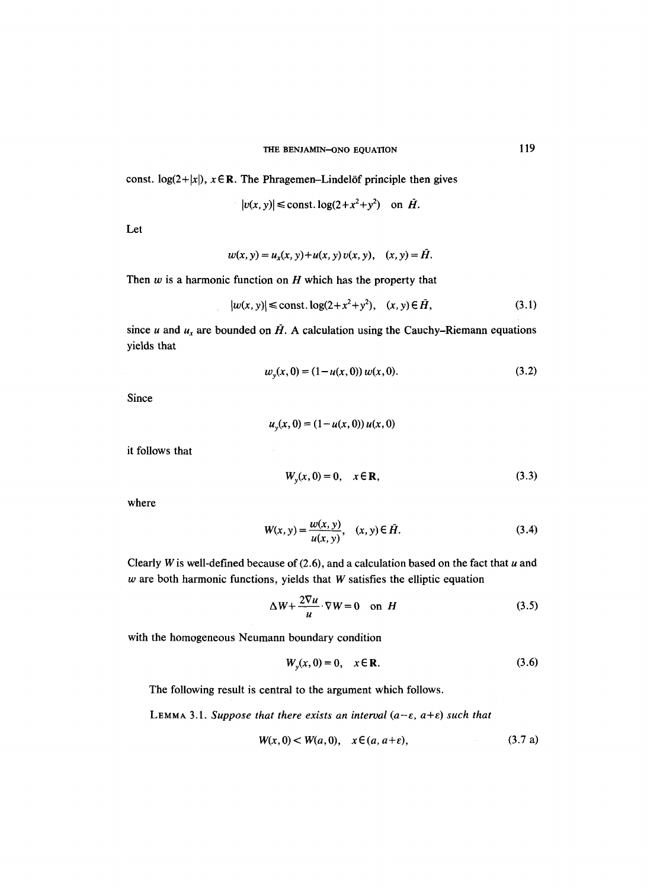$$
|v(x, y)| \le \text{const.} \log(2 + x^2 + y^2) \quad \text{on } \tilde{H}.
$$

Let

$$
w(x, y) = u_x(x, y) + u(x, y) v(x, y), \quad (x, y) = \bar{H}.
$$

Then  $w$  is a harmonic function on  $H$  which has the property that

$$
|w(x, y)| \le \text{const.} \log(2 + x^2 + y^2), \quad (x, y) \in \bar{H}, \tag{3.1}
$$

since u and  $u_x$  are bounded on  $\tilde{H}$ . A calculation using the Cauchy-Riemann equations yields that

$$
w_{v}(x,0) = (1 - u(x,0)) w(x,0).
$$
 (3.2)

Since

$$
u_{y}(x, 0) = (1 - u(x, 0)) u(x, 0)
$$

it follows that

$$
W_{\mathbf{v}}(x,0) = 0, \quad x \in \mathbb{R}, \tag{3.3}
$$

where

$$
W(x, y) = \frac{w(x, y)}{u(x, y)}, \quad (x, y) \in \bar{H}.
$$
 (3.4)

Clearly W is well-defined because of  $(2.6)$ , and a calculation based on the fact that u and  $w$  are both harmonic functions, yields that  $W$  satisfies the elliptic equation

$$
\Delta W + \frac{2\nabla u}{u} \cdot \nabla W = 0 \quad \text{on } H \tag{3.5}
$$

with the homogeneous Neumann boundary condition

$$
W_{\mathbf{v}}(x,0) = 0, \quad x \in \mathbb{R}.\tag{3.6}
$$

The following result is central to the argument which follows.

LEMMA 3.1. Suppose that there exists an interval  $(a-\varepsilon, a+\varepsilon)$  such that

$$
W(x,0) < W(a,0), \quad x \in (a,a+\varepsilon), \tag{3.7 a}
$$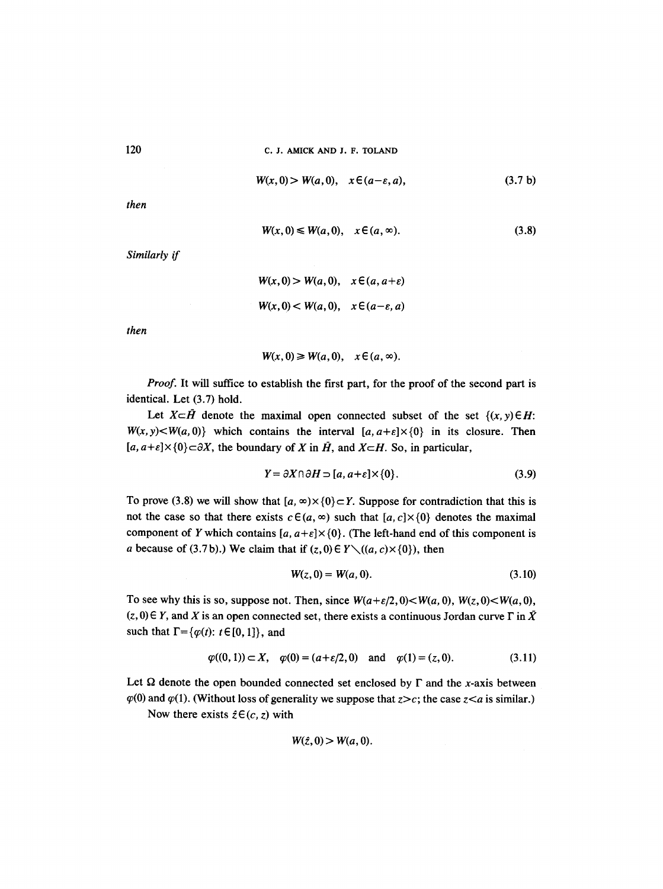$$
W(x,0) > W(a,0), \quad x \in (a-\varepsilon, a), \tag{3.7 b}
$$

*then* 

$$
W(x,0) \le W(a,0), \quad x \in (a,\infty). \tag{3.8}
$$

*Similarly if* 

$$
W(x, 0) > W(a, 0), \quad x \in (a, a+\varepsilon)
$$
  

$$
W(x, 0) < W(a, 0), \quad x \in (a-\varepsilon, a)
$$

*then* 

$$
W(x, 0) \geq W(a, 0), \quad x \in (a, \infty).
$$

*Proof.* It will suffice to establish the first part, for the proof of the second part is identical. Let (3.7) hold.

Let  $X \subset \overline{H}$  denote the maximal open connected subset of the set  $\{(x, y) \in H:$  $W(x, y) < W(a, 0)$  which contains the interval [a,  $a+\epsilon \times \{0\}$  in its closure. Then  $[a, a+\varepsilon] \times \{0\} \subset \partial X$ , the boundary of X in  $\tilde{H}$ , and  $X \subset H$ . So, in particular,

$$
Y = \partial X \cap \partial H \supset [a, a + \varepsilon] \times \{0\}.
$$
 (3.9)

To prove (3.8) we will show that  $[a, \infty) \times \{0\} \subset Y$ . Suppose for contradiction that this is not the case so that there exists  $c \in (a, \infty)$  such that  $[a, c] \times \{0\}$  denotes the maximal component of Y which contains  $[a, a+\varepsilon] \times \{0\}$ . (The left-hand end of this component is a because of (3.7b).) We claim that if  $(z, 0) \in Y \setminus ((a, c) \times \{0\})$ , then

$$
W(z,0) = W(a,0). \tag{3.10}
$$

To see why this is so, suppose not. Then, since  $W(a+\varepsilon/2,0) < W(a,0), W(z,0) < W(a,0),$  $(z, 0) \in Y$ , and X is an open connected set, there exists a continuous Jordan curve  $\Gamma$  in  $\overline{X}$ such that  $\Gamma = \{ \varphi(t) : t \in [0, 1] \}$ , and

$$
\varphi((0, 1)) \subset X, \quad \varphi(0) = (a + \varepsilon/2, 0) \quad \text{and} \quad \varphi(1) = (z, 0).
$$
 (3.11)

Let  $\Omega$  denote the open bounded connected set enclosed by  $\Gamma$  and the x-axis between  $\varphi(0)$  and  $\varphi(1)$ . (Without loss of generality we suppose that *z*>*c*; the case *z*<*a* is similar.)

Now there exists  $\hat{z} \in (c, z)$  with

$$
W(\hat{z},0) > W(a,0).
$$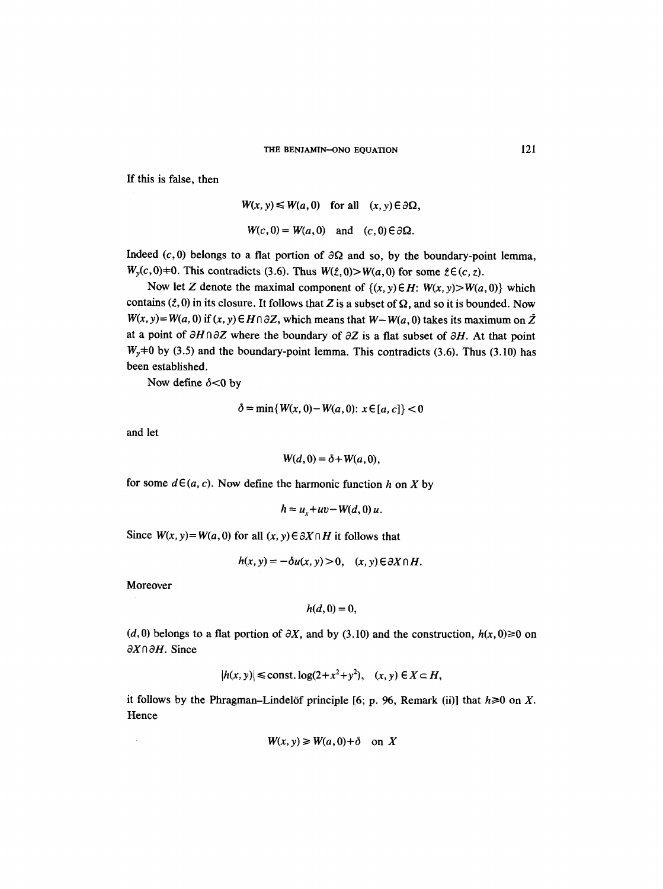If this is false, then

$$
W(x, y) \le W(a, 0) \quad \text{for all} \quad (x, y) \in \partial \Omega,
$$
  

$$
W(c, 0) = W(a, 0) \quad \text{and} \quad (c, 0) \in \partial \Omega.
$$

Indeed (c, 0) belongs to a flat portion of  $\partial\Omega$  and so, by the boundary-point lemma,  $W_y(c,0) \neq 0$ . This contradicts (3.6). Thus  $W(\hat{z},0) > W(a,0)$  for some  $\hat{z} \in (c, z)$ .

Now let Z denote the maximal component of  $\{(x, y) \in H: W(x, y) > W(a, 0)\}\)$  which contains ( $\hat{z}$ , 0) in its closure. It follows that Z is a subset of  $\Omega$ , and so it is bounded. Now  $W(x, y) = W(a, 0)$  if  $(x, y) \in H \cap \partial Z$ , which means that  $W-W(a, 0)$  takes its maximum on  $\overline{Z}$ at a point of  $\partial H \cap \partial Z$  where the boundary of  $\partial Z$  is a flat subset of  $\partial H$ . At that point  $W_y \neq 0$  by (3.5) and the boundary-point lemma. This contradicts (3.6). Thus (3.10) has been established.

Now define  $\delta$ <0 by

$$
\delta = \min\{W(x, 0) - W(a, 0): x \in [a, c]\} < 0
$$

and let

$$
W(d,0)=\delta+W(a,0),
$$

for some  $d \in (a, c)$ . Now define the harmonic function h on X by

$$
h = u_x + uv - W(d, 0) u.
$$

Since  $W(x, y) = W(a, 0)$  for all  $(x, y) \in \partial X \cap H$  it follows that

$$
h(x, y) = -\delta u(x, y) > 0, \quad (x, y) \in \partial X \cap H.
$$

Moreover

 $\sim$ 

 $h(d, 0) = 0$ ,

 $(d, 0)$  belongs to a flat portion of  $\partial X$ , and by (3.10) and the construction,  $h(x, 0) \ge 0$  on  $\partial X \cap \partial H$ . Since

$$
|h(x, y)| \le \text{const.} \log(2 + x^2 + y^2), \quad (x, y) \in X \subset H,
$$

it follows by the Phragman-Lindelöf principle [6; p. 96, Remark (ii)] that  $h \ge 0$  on X. Hence

$$
W(x, y) \ge W(a, 0) + \delta \quad \text{on } X
$$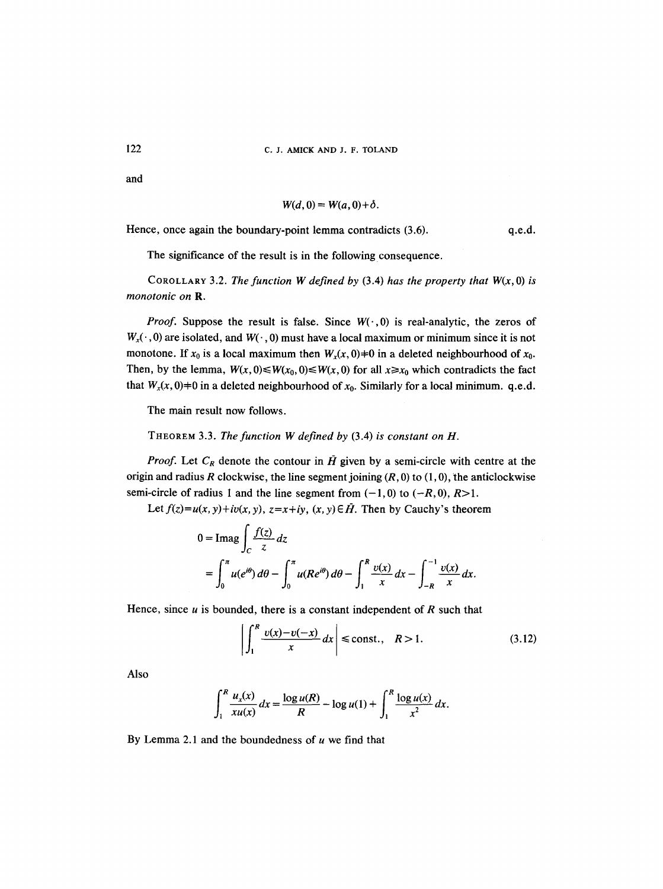and

$$
W(d,0)=W(a,0)+\delta.
$$

Hence, once again the boundary-point lemma contradicts (3.6).  $q.e.d.$ 

The significance of the result is in the following consequence.

COROLLARY 3.2. *The function W defined by* (3.4) *has the property that*  $W(x, 0)$  *is monotonic on R.* 

*Proof.* Suppose the result is false. Since  $W(·, 0)$  is real-analytic, the zeros of  $W_x(\cdot, 0)$  are isolated, and  $W(\cdot, 0)$  must have a local maximum or minimum since it is not monotone. If  $x_0$  is a local maximum then  $W_x(x, 0) \neq 0$  in a deleted neighbourhood of  $x_0$ . Then, by the lemma,  $W(x, 0) \le W(x_0, 0) \le W(x, 0)$  for all  $x \ge x_0$  which contradicts the fact that  $W_x(x, 0) \neq 0$  in a deleted neighbourhood of  $x_0$ . Similarly for a local minimum, q.e.d.

The main result now follows.

THEOREM 3.3. *The function W defined by* (3.4) *is constant on H.* 

*Proof.* Let  $C_R$  denote the contour in  $\tilde{H}$  given by a semi-circle with centre at the origin and radius R clockwise, the line segment joining  $(R, 0)$  to  $(1, 0)$ , the anticlockwise semi-circle of radius 1 and the line segment from  $(-1,0)$  to  $(-R,0)$ ,  $R>1$ .

Let  $f(z) = u(x, y) + iv(x, y)$ ,  $z = x + iy$ ,  $(x, y) \in \tilde{H}$ . Then by Cauchy's theorem

$$
0 = \operatorname{Imag} \int_C \frac{f(z)}{z} dz
$$
  
= 
$$
\int_0^{\pi} u(e^{i\theta}) d\theta - \int_0^{\pi} u(Re^{i\theta}) d\theta - \int_1^R \frac{v(x)}{x} dx - \int_{-R}^{-1} \frac{v(x)}{x} dx.
$$

Hence, since  $u$  is bounded, there is a constant independent of  $R$  such that

$$
\left| \int_{1}^{R} \frac{v(x) - v(-x)}{x} dx \right| \le \text{const.}, \quad R > 1.
$$
 (3.12)

Also

$$
\int_1^R \frac{u_x(x)}{xu(x)} dx = \frac{\log u(R)}{R} - \log u(1) + \int_1^R \frac{\log u(x)}{x^2} dx.
$$

By Lemma 2.1 and the boundedness of  $u$  we find that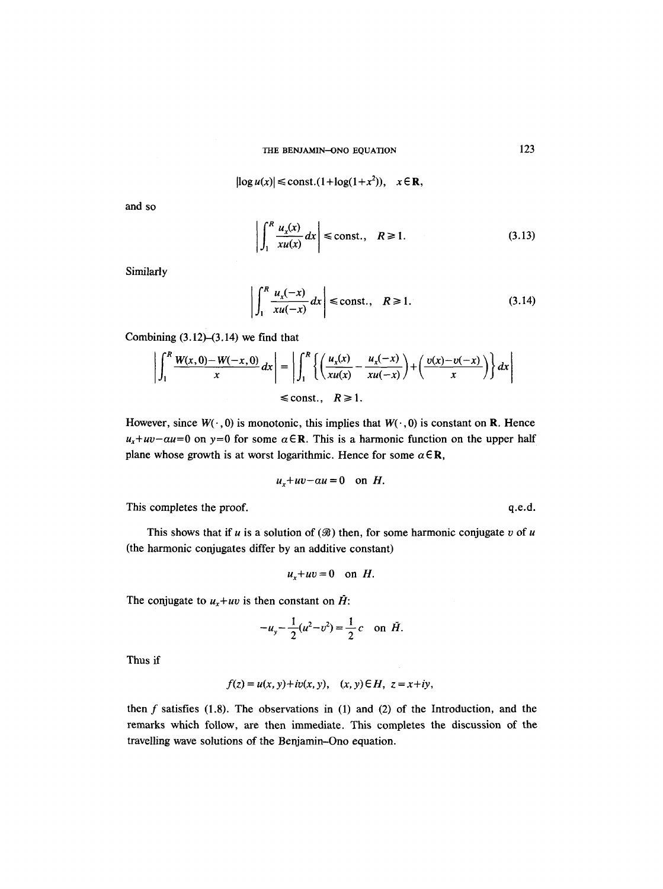$$
|\log u(x)| \le \text{const.}(1 + \log(1 + x^2)), \quad x \in \mathbb{R},
$$

and so

$$
\left| \int_{1}^{R} \frac{u_{x}(x)}{x u(x)} dx \right| \le \text{const.}, \quad R \ge 1. \tag{3.13}
$$

Similarly

$$
\left| \int_{1}^{R} \frac{u_{x}(-x)}{xu(-x)} dx \right| \le \text{const.}, \quad R \ge 1.
$$
 (3.14)

Combining  $(3.12)$ – $(3.14)$  we find that

$$
\left|\int_1^R \frac{W(x,0) - W(-x,0)}{x} dx\right| = \left|\int_1^R \left\{ \left(\frac{u_x(x)}{xu(x)} - \frac{u_x(-x)}{xu(-x)}\right) + \left(\frac{v(x) - v(-x)}{x}\right) \right\} dx\right|
$$
  
\n $\le \text{const.}, \quad R \ge 1.$ 

However, since  $W(\cdot, 0)$  is monotonic, this implies that  $W(\cdot, 0)$  is constant on R. Hence  $u_x + uv - \alpha u = 0$  on y=0 for some  $\alpha \in \mathbb{R}$ . This is a harmonic function on the upper half plane whose growth is at worst logarithmic. Hence for some  $\alpha \in \mathbb{R}$ ,

$$
u_x + uv - \alpha u = 0 \quad \text{on } H.
$$

This completes the proof.  $q.e.d.$ 

This shows that if u is a solution of  $(\mathcal{B})$  then, for some harmonic conjugate v of u (the harmonic conjugates differ by an additive constant)

$$
u_x+uv=0 \quad \text{on } H.
$$

The conjugate to  $u_x+uv$  is then constant on  $\tilde{H}$ :

$$
-u_y - \frac{1}{2}(u^2 - v^2) = \frac{1}{2}c \quad \text{on } \tilde{H}.
$$

Thus if

$$
f(z) = u(x, y) + iv(x, y), \quad (x, y) \in H, \ z = x + iy,
$$

then  $f$  satisfies (1.8). The observations in (1) and (2) of the Introduction, and the remarks which follow, are then immediate. This completes the discussion of the travelling wave solutions of the Benjamin-Ono equation.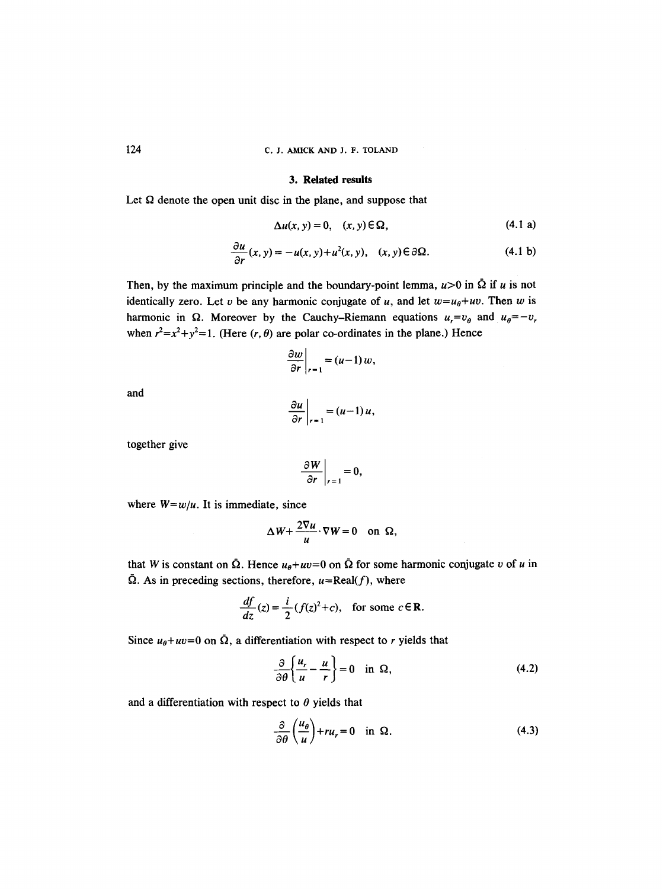## **3. Related results**

Let  $\Omega$  denote the open unit disc in the plane, and suppose that

$$
\Delta u(x, y) = 0, \quad (x, y) \in \Omega, \tag{4.1 a}
$$

$$
\frac{\partial u}{\partial r}(x, y) = -u(x, y) + u^2(x, y), \quad (x, y) \in \partial \Omega.
$$
 (4.1 b)

Then, by the maximum principle and the boundary-point lemma,  $u>0$  in  $\overline{\Omega}$  if u is not identically zero. Let v be any harmonic conjugate of u, and let  $w=u_{\theta}+uv$ . Then w is harmonic in  $\Omega$ . Moreover by the Cauchy-Riemann equations  $u_r = v_\theta$  and  $u_\theta = -v_r$ when  $r^2 = x^2 + y^2 = 1$ . (Here  $(r, \theta)$  are polar co-ordinates in the plane.) Hence

$$
\left.\frac{\partial w}{\partial r}\right|_{r=1}=(u-1)w,
$$

and

$$
\left.\frac{\partial u}{\partial r}\right|_{r=1}=(u-1)u,
$$

together give

$$
\left.\frac{\partial W}{\partial r}\right|_{r=1}=0,
$$

where  $W = w/u$ . It is immediate, since

$$
\Delta W + \frac{2\nabla u}{u} \cdot \nabla W = 0 \quad \text{on } \Omega,
$$

that W is constant on  $\overline{\Omega}$ . Hence  $u_{\theta}+uv=0$  on  $\overline{\Omega}$  for some harmonic conjugate v of u in  $\overline{\Omega}$ . As in preceding sections, therefore, u=Real(f), where

$$
\frac{df}{dz}(z) = \frac{i}{2}(f(z)^2 + c), \text{ for some } c \in \mathbb{R}.
$$

Since  $u_{\theta}+uv=0$  on  $\overline{\Omega}$ , a differentiation with respect to r yields that

$$
\frac{\partial}{\partial \theta} \left\{ \frac{u_r}{u} - \frac{u}{r} \right\} = 0 \quad \text{in } \Omega,
$$
 (4.2)

and a differentiation with respect to  $\theta$  yields that

$$
\frac{\partial}{\partial \theta} \left( \frac{u_{\theta}}{u} \right) + ru_r = 0 \quad \text{in } \Omega. \tag{4.3}
$$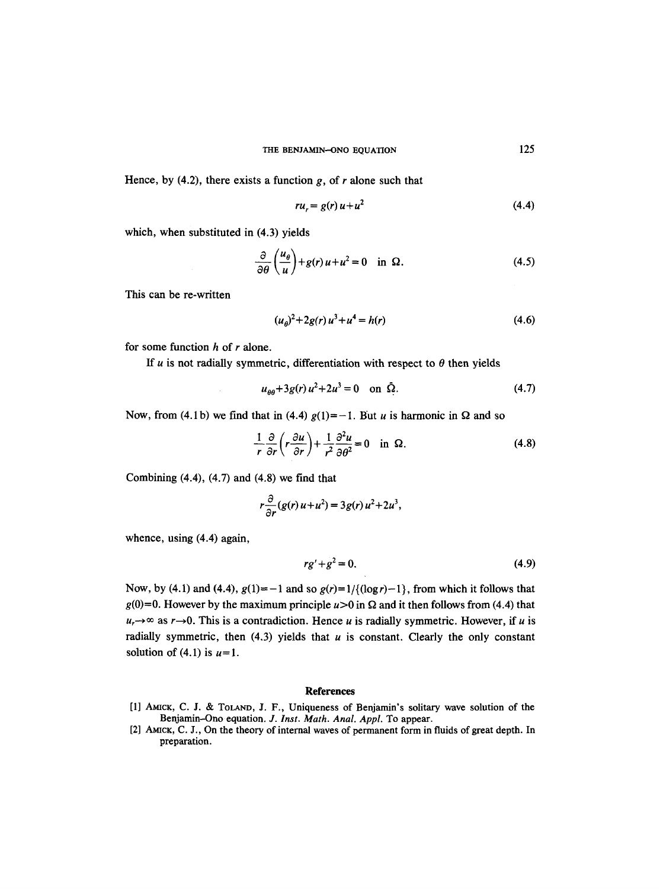Hence, by (4.2), there exists a function  $g$ , of  $r$  alone such that

$$
ru_r = g(r) u + u^2 \tag{4.4}
$$

which, when substituted in (4.3) yields

$$
\frac{\partial}{\partial \theta} \left( \frac{u_{\theta}}{u} \right) + g(r) u + u^2 = 0 \quad \text{in } \Omega. \tag{4.5}
$$

This can be re-written

$$
(u_{\theta})^2 + 2g(r)u^3 + u^4 = h(r)
$$
\n(4.6)

for some function  $h$  of  $r$  alone.

If u is not radially symmetric, differentiation with respect to  $\theta$  then yields

$$
u_{\theta\theta} + 3g(r) u^2 + 2u^3 = 0 \quad \text{on } \ \Omega. \tag{4.7}
$$

Now, from (4.1b) we find that in (4.4)  $g(1) = -1$ . But u is harmonic in  $\Omega$  and so

$$
\frac{1}{r}\frac{\partial}{\partial r}\left(r\frac{\partial u}{\partial r}\right) + \frac{1}{r^2}\frac{\partial^2 u}{\partial \theta^2} = 0 \quad \text{in } \Omega.
$$
 (4.8)

Combining  $(4.4)$ ,  $(4.7)$  and  $(4.8)$  we find that

$$
r\frac{\partial}{\partial r}(g(r)u+u^2)=3g(r)u^2+2u^3,
$$

whence, using (4.4) again,

$$
rg'+g^2=0.
$$
 (4.9)

Now, by (4.1) and (4.4),  $g(1) = -1$  and so  $g(r) = 1/{(\log r) - 1}$ , from which it follows that  $g(0)=0$ . However by the maximum principle  $u>0$  in  $\Omega$  and it then follows from (4.4) that  $u_r \rightarrow \infty$  as  $r \rightarrow 0$ . This is a contradiction. Hence u is radially symmetric. However, if u is radially symmetric, then  $(4.3)$  yields that u is constant. Clearly the only constant solution of (4.1) is  $u=1$ .

#### **References**

- [1] AMICK, C. J. & TOLAND, J. F., Uniqueness of Benjamin's solitary wave solution of the Benjamin--Ono equation, *J. Inst. Math. Anal. Appl.* To appear.
- [2] AMICK, C. J., On the theory of internal waves of permanent form in fluids of great depth. In preparation.